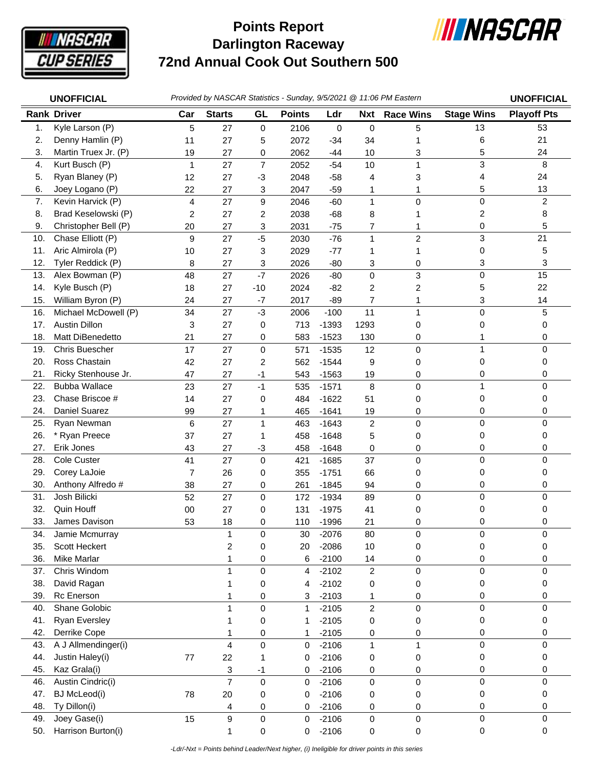

## **Darlington Raceway 72nd Annual Cook Out Southern 500 Points Report**



| <b>UNOFFICIAL</b> |                           |                | Provided by NASCAR Statistics - Sunday, 9/5/2021 @ 11:06 PM Eastern |                  |                  |                    |                       |                  |                   |                    |
|-------------------|---------------------------|----------------|---------------------------------------------------------------------|------------------|------------------|--------------------|-----------------------|------------------|-------------------|--------------------|
|                   | <b>Rank Driver</b>        | Car            | <b>Starts</b>                                                       | GL               | <b>Points</b>    | Ldr                | Nxt                   | <b>Race Wins</b> | <b>Stage Wins</b> | <b>Playoff Pts</b> |
| 1.                | Kyle Larson (P)           | 5              | 27                                                                  | $\boldsymbol{0}$ | 2106             | 0                  | $\mathbf 0$           | 5                | 13                | 53                 |
| 2.                | Denny Hamlin (P)          | 11             | 27                                                                  | 5                | 2072             | $-34$              | 34                    |                  | 6                 | 21                 |
| 3.                | Martin Truex Jr. (P)      | 19             | 27                                                                  | 0                | 2062             | $-44$              | 10                    | 3                | 5                 | 24                 |
| 4.                | Kurt Busch (P)            | $\mathbf{1}$   | 27                                                                  | $\overline{7}$   | 2052             | $-54$              | 10                    | 1                | 3                 | 8                  |
| 5.                | Ryan Blaney (P)           | 12             | 27                                                                  | $-3$             | 2048             | $-58$              | 4                     | 3                | 4                 | 24                 |
| 6.                | Joey Logano (P)           | 22             | 27                                                                  | 3                | 2047             | $-59$              | 1                     | 1                | 5                 | 13                 |
| 7.                | Kevin Harvick (P)         | 4              | 27                                                                  | $\boldsymbol{9}$ | 2046             | $-60$              | $\mathbf{1}$          | 0                | $\pmb{0}$         | $\overline{2}$     |
| 8.                | Brad Keselowski (P)       | $\overline{c}$ | 27                                                                  | 2                | 2038             | $-68$              | 8                     |                  | 2                 | 8                  |
| 9.                | Christopher Bell (P)      | 20             | 27                                                                  | 3                | 2031             | $-75$              | 7                     |                  | 0                 | 5                  |
| 10.               | Chase Elliott (P)         | 9              | 27                                                                  | $-5$             | 2030             | $-76$              | $\mathbf{1}$          | $\overline{c}$   | 3                 | 21                 |
| 11.               | Aric Almirola (P)         | 10             | 27                                                                  | 3                | 2029             | $-77$              | 1                     | 1                | 0                 | 5                  |
| 12.               | Tyler Reddick (P)         | 8              | 27                                                                  | 3                | 2026             | $-80$              | 3                     | 0                | 3                 | 3                  |
| 13.               | Alex Bowman (P)           | 48             | 27                                                                  | $-7$             | 2026             | $-80$              | 0                     | 3                | $\mathbf 0$       | 15                 |
| 14.               | Kyle Busch (P)            | 18             | 27                                                                  | $-10$            | 2024             | $-82$              | 2                     | 2                | 5                 | 22                 |
| 15.               | William Byron (P)         | 24             | 27                                                                  | $-7$             | 2017             | $-89$              | 7                     | 1                | 3                 | 14                 |
| 16.               | Michael McDowell (P)      | 34             | 27                                                                  | $-3$             | 2006             | $-100$             | 11                    | 1                | $\mathbf 0$       | 5                  |
| 17.               | Austin Dillon             | 3              | 27                                                                  | 0                | 713              | $-1393$            | 1293                  | 0                | 0                 | 0                  |
| 18.               | Matt DiBenedetto          | 21             | 27                                                                  | 0                | 583              | $-1523$            | 130                   | 0                | 1                 | 0                  |
| 19.               | Chris Buescher            | 17             | 27                                                                  | 0                | 571              | $-1535$            | 12                    | 0                | $\mathbf{1}$      | $\mathbf 0$        |
| 20.               | Ross Chastain             | 42             | 27                                                                  | 2                | 562              | $-1544$            | 9                     | 0                | 0                 | 0                  |
| 21.               | Ricky Stenhouse Jr.       | 47             | 27                                                                  | $-1$             | 543              | $-1563$            | 19                    | 0                | 0                 | 0                  |
| 22.               | <b>Bubba Wallace</b>      | 23             | 27                                                                  | $-1$             | 535              | $-1571$            | 8                     | 0                | $\mathbf{1}$      | $\Omega$           |
| 23.               | Chase Briscoe #           | 14             | 27                                                                  | 0                | 484              | $-1622$            | 51                    | 0                | 0                 | 0                  |
| 24.               | Daniel Suarez             | 99             | 27                                                                  | 1                | 465              | $-1641$            | 19                    | 0                | 0                 | 0                  |
| 25.               | Ryan Newman               | 6              | 27                                                                  | $\mathbf{1}$     | 463              | $-1643$            | $\sqrt{2}$            | 0                | $\pmb{0}$         | $\mathbf 0$        |
| 26.               | * Ryan Preece             | 37             | 27                                                                  | 1                | 458              | $-1648$            | 5                     | 0                | 0                 | 0                  |
| 27.               | Erik Jones                | 43             | 27                                                                  | $-3$             | 458              | $-1648$            | 0                     | 0                | 0                 | 0                  |
| 28.               | Cole Custer               | 41             | 27                                                                  | $\mathbf 0$      | 421              | $-1685$            | 37                    | 0                | $\mathbf 0$       | $\mathbf 0$        |
| 29.               | Corey LaJoie              | $\overline{7}$ | 26                                                                  | 0                | 355              | $-1751$            | 66                    | 0                | 0                 | 0                  |
| 30.               | Anthony Alfredo #         | 38             | 27                                                                  | 0                | 261              | $-1845$            | 94                    | 0                | 0                 | 0                  |
| 31.               | Josh Bilicki              | 52             | 27                                                                  | 0                | 172              | $-1934$            | 89                    | 0                | $\mathbf 0$       | $\mathbf 0$        |
| 32.               | Quin Houff                | 00             | 27                                                                  | 0                | 131              | $-1975$            | 41                    | 0                | 0                 | 0                  |
| 33.               | James Davison             | 53             | 18                                                                  | 0                | 110              | $-1996$            | 21                    | 0                | 0                 | 0                  |
| 34.               | Jamie Mcmurray            |                | 1                                                                   | $\pmb{0}$        | 30               | $-2076$            | 80                    | 0                | 0                 | 0                  |
| 35.               | Scott Heckert             |                | 2                                                                   | 0                | 20               | $-2086$            | 10                    | 0                | 0                 | 0                  |
| 36.               | Mike Marlar               |                | 1                                                                   | 0                | 6                | $-2100$            | 14                    | 0                | 0                 | 0                  |
| 37.               | Chris Windom              |                | 1                                                                   | 0                | 4                | $-2102$            | $\overline{c}$        | $\mathbf 0$      | $\mathbf 0$       | $\Omega$           |
| 38.<br>39.        | David Ragan<br>Rc Enerson |                | 1                                                                   | 0                | 4                | $-2102$            | 0                     | 0                | 0<br>0            | 0<br>0             |
| 40.               | Shane Golobic             |                | 1<br>1                                                              | 0<br>$\mathsf 0$ | 3                | $-2103$            | 1<br>$\boldsymbol{2}$ | 0                | $\pmb{0}$         | $\mathbf 0$        |
| 41.               | <b>Ryan Eversley</b>      |                |                                                                     |                  | 1                | $-2105$            |                       | 0                |                   |                    |
| 42.               | Derrike Cope              |                | 1                                                                   | 0                | 1                | $-2105$<br>$-2105$ | 0                     | 0                | 0<br>0            | 0<br>0             |
| 43.               | A J Allmendinger(i)       |                | 1<br>4                                                              | 0<br>$\pmb{0}$   | 1                | $-2106$            | 0<br>$\mathbf{1}$     | 0                | $\pmb{0}$         | $\mathbf 0$        |
| 44.               | Justin Haley(i)           | $77$           | 22                                                                  | 1                | $\mathbf 0$<br>0 | $-2106$            | 0                     | 1                | 0                 | 0                  |
| 45.               | Kaz Grala(i)              |                |                                                                     | $-1$             | 0                | $-2106$            |                       | 0                | 0                 | 0                  |
| 46.               | Austin Cindric(i)         |                | 3<br>$\overline{7}$                                                 | $\pmb{0}$        | 0                | $-2106$            | 0<br>0                | 0<br>0           | $\mathbf 0$       | 0                  |
| 47.               | <b>BJ</b> McLeod(i)       | 78             | 20                                                                  | 0                | 0                | $-2106$            | 0                     | 0                | 0                 | 0                  |
| 48.               | Ty Dillon(i)              |                | 4                                                                   | 0                | 0                | $-2106$            | 0                     | 0                | 0                 | 0                  |
| 49.               | Joey Gase(i)              | 15             | 9                                                                   | $\pmb{0}$        | $\pmb{0}$        | $-2106$            | 0                     | $\mathsf 0$      | $\pmb{0}$         | 0                  |
| 50.               | Harrison Burton(i)        |                | 1                                                                   | 0                | 0                | $-2106$            | 0                     | 0                | $\pmb{0}$         | $\mathbf 0$        |